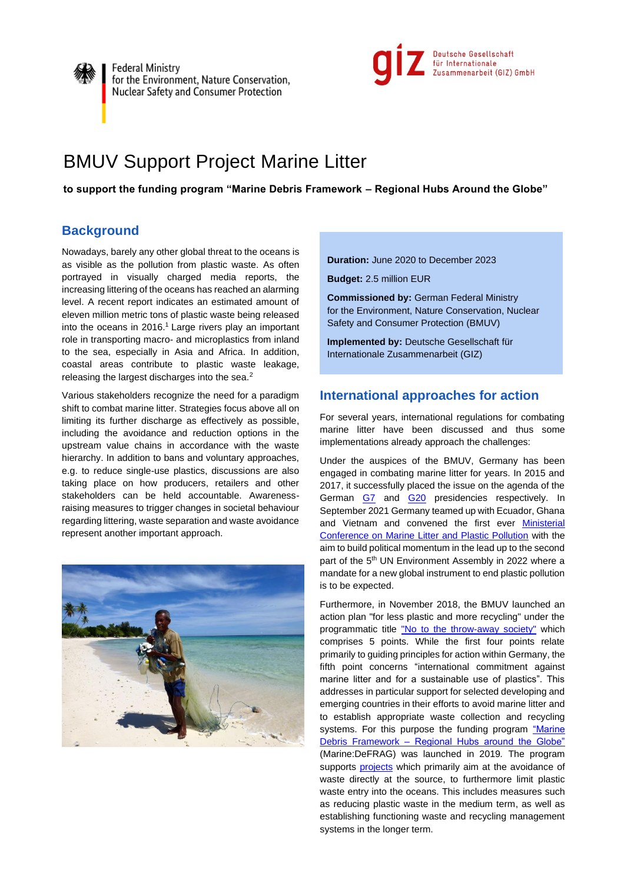



# BMUV Support Project Marine Litter

**to support the funding program "Marine Debris Framework – Regional Hubs Around the Globe"** 

# **Background**

Nowadays, barely any other global threat to the oceans is as visible as the pollution from plastic waste. As often portrayed in visually charged media reports, the increasing littering of the oceans has reached an alarming level. A recent report indicates an estimated amount of eleven million metric tons of plastic waste being released into the oceans in 2016. <sup>1</sup> Large rivers play an important role in transporting macro- and microplastics from inland to the sea, especially in Asia and Africa. In addition, coastal areas contribute to plastic waste leakage, releasing the largest discharges into the sea.<sup>2</sup>

Various stakeholders recognize the need for a paradigm shift to combat marine litter. Strategies focus above all on limiting its further discharge as effectively as possible, including the avoidance and reduction options in the upstream value chains in accordance with the waste hierarchy. In addition to bans and voluntary approaches, e.g. to reduce single-use plastics, discussions are also taking place on how producers, retailers and other stakeholders can be held accountable. Awarenessraising measures to trigger changes in societal behaviour regarding littering, waste separation and waste avoidance represent another important approach.



**Duration:** June 2020 to December 2023

**Budget:** 2.5 million EUR

**Commissioned by:** German Federal Ministry for the Environment, Nature Conservation, Nuclear Safety and Consumer Protection (BMUV)

**Implemented by:** Deutsche Gesellschaft für Internationale Zusammenarbeit (GIZ)

# **International approaches for action**

For several years, international regulations for combating marine litter have been discussed and thus some implementations already approach the challenges:

Under the auspices of the BMUV, Germany has been engaged in combating marine litter for years. In 2015 and 2017, it successfully placed the issue on the agenda of the German [G7](https://www.env.go.jp/water/marine_litter/07_mat13_2_%EF%BC%93-2ALD.pdf) and [G20](https://www.g20germany.de/Content/DE/_Anlagen/G7_G20/2017-g20-marine-litter-en___blob=publicationFile&v=4.pdf) presidencies respectively. In September 2021 Germany teamed up with Ecuador, Ghana and Vietnam and convened the first ever **Ministerial** [Conference on Marine Litter and Plastic Pollution](https://conferencemarinelitterplasticpollution.org/home/) with the aim to build political momentum in the lead up to the second part of the 5<sup>th</sup> UN Environment Assembly in 2022 where a mandate for a new global instrument to end plastic pollution is to be expected.

Furthermore, in November 2018, the BMUV launched an action plan "for less plastic and more recycling" under the programmatic title ["No to the throw-away society"](https://www.bmu.de/fileadmin/Daten_BMU/Download_PDF/Abfallwirtschaft/5_punkte_plan_plastik_181123_bf.pdf) which comprises 5 points. While the first four points relate primarily to guiding principles for action within Germany, the fifth point concerns "international commitment against marine litter and for a sustainable use of plastics". This addresses in particular support for selected developing and emerging countries in their efforts to avoid marine litter and to establish appropriate waste collection and recycling systems. For this purpose the funding program "Marine Debris Framework – [Regional Hubs around the Globe"](https://www.z-u-g.org/aufgaben/foerderprogramm-gegen-meeresmuell/) (Marine:DeFRAG) was launched in 2019*.* The program supports [projects](https://www.z-u-g.org/aufgaben/foerderprogramm-gegen-meeresmuell/projektuebersicht/) which primarily aim at the avoidance of waste directly at the source, to furthermore limit plastic waste entry into the oceans. This includes measures such as reducing plastic waste in the medium term, as well as establishing functioning waste and recycling management systems in the longer term.